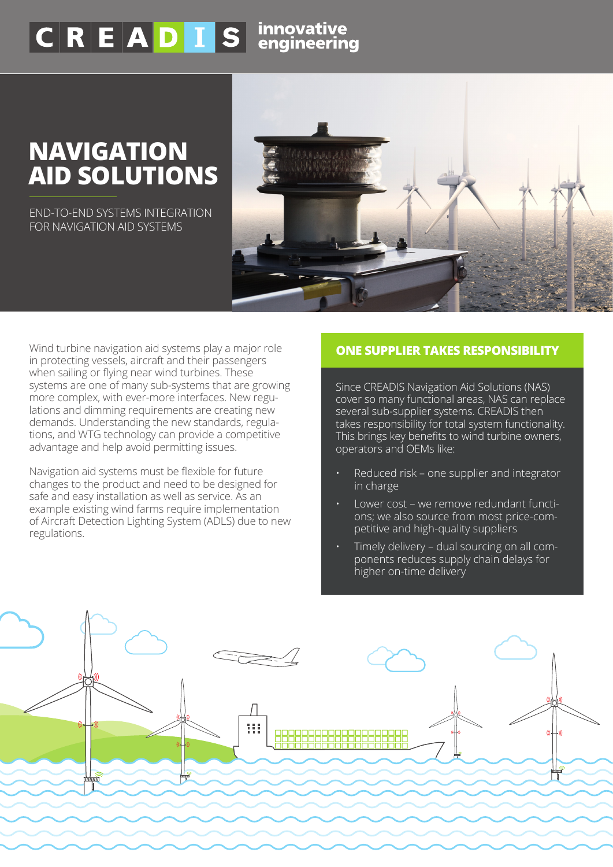## $\overline{C|R|E|A|D|I}$  S innovative

## **NAVIGATION AID SOLUTIONS**

END-TO-END SYSTEMS INTEGRATION FOR NAVIGATION AID SYSTEMS



Wind turbine navigation aid systems play a major role in protecting vessels, aircraft and their passengers when sailing or flying near wind turbines. These systems are one of many sub-systems that are growing more complex, with ever-more interfaces. New regulations and dimming requirements are creating new demands. Understanding the new standards, regulations, and WTG technology can provide a competitive advantage and help avoid permitting issues.

Navigation aid systems must be flexible for future changes to the product and need to be designed for safe and easy installation as well as service. As an example existing wind farms require implementation of Aircraft Detection Lighting System (ADLS) due to new regulations.

## **ONE SUPPLIER TAKES RESPONSIBILITY**

Since CREADIS Navigation Aid Solutions (NAS) cover so many functional areas, NAS can replace several sub-supplier systems. CREADIS then takes responsibility for total system functionality. This brings key benefits to wind turbine owners, operators and OEMs like:

- Reduced risk one supplier and integrator in charge
- Lower cost we remove redundant functions; we also source from most price-competitive and high-quality suppliers
- Timely delivery dual sourcing on all components reduces supply chain delays for higher on-time delivery